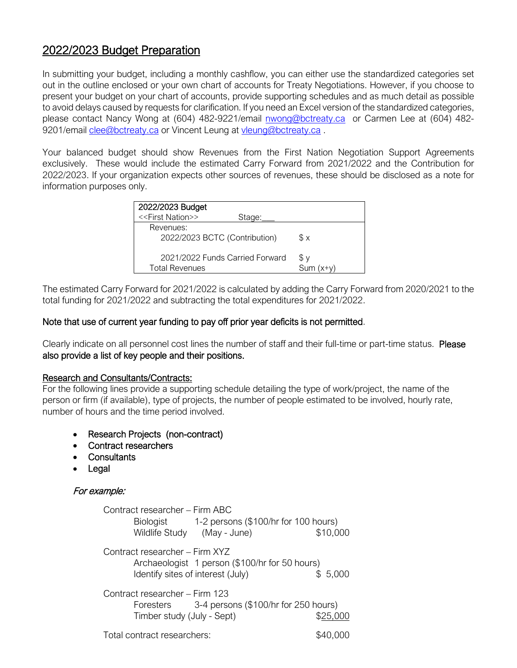# 2022/2023 Budget Preparation

In submitting your budget, including a monthly cashflow, you can either use the standardized categories set out in the outline enclosed or your own chart of accounts for Treaty Negotiations. However, if you choose to present your budget on your chart of accounts, provide supporting schedules and as much detail as possible to avoid delays caused by requests for clarification. If you need an Excel version of the standardized categories, please contact Nancy Wong at (604) 482-9221/email [nwong@bctreaty.ca](mailto:nwong@bctreaty.ca) or Carmen Lee at (604) 482 9201/email [clee@bctreaty.ca](mailto:clee@bctreaty.ca) or Vincent Leung at [vleung@bctreaty.ca](mailto:vleung@bctreaty.ca).

Your balanced budget should show Revenues from the First Nation Negotiation Support Agreements exclusively. These would include the estimated Carry Forward from 2021/2022 and the Contribution for 2022/2023. If your organization expects other sources of revenues, these should be disclosed as a note for information purposes only.

| 2022/2023 Budget                                         |        |                  |
|----------------------------------------------------------|--------|------------------|
| < <first nation="">&gt;</first>                          | Stage: |                  |
| Revenues:<br>2022/2023 BCTC (Contribution)               |        | Sχ               |
| 2021/2022 Funds Carried Forward<br><b>Total Revenues</b> |        | Sν<br>$Sum(x+y)$ |

The estimated Carry Forward for 2021/2022 is calculated by adding the Carry Forward from 2020/2021 to the total funding for 2021/2022 and subtracting the total expenditures for 2021/2022.

### Note that use of current year funding to pay off prior year deficits is not permitted.

Clearly indicate on all personnel cost lines the number of staff and their full-time or part-time status. Please also provide a list of key people and their positions.

### Research and Consultants/Contracts:

For the following lines provide a supporting schedule detailing the type of work/project, the name of the person or firm (if available), type of projects, the number of people estimated to be involved, hourly rate, number of hours and the time period involved.

- Research Projects (non-contract)
- Contract researchers
- Consultants
- **Legal**

### For example:

| Contract researcher – Firm ABC<br>Biologist 1-2 persons (\$100/hr for 100 hours)<br>Wildlife Study (May - June)            | \$10,000 |  |  |
|----------------------------------------------------------------------------------------------------------------------------|----------|--|--|
| Contract researcher - Firm XYZ<br>Archaeologist 1 person (\$100/hr for 50 hours)<br>Identify sites of interest (July)      | \$5,000  |  |  |
| Contract researcher – Firm 123<br>Foresters 3-4 persons (\$100/hr for 250 hours)<br>Timber study (July - Sept)<br>\$25,000 |          |  |  |
| Total contract researchers:                                                                                                |          |  |  |